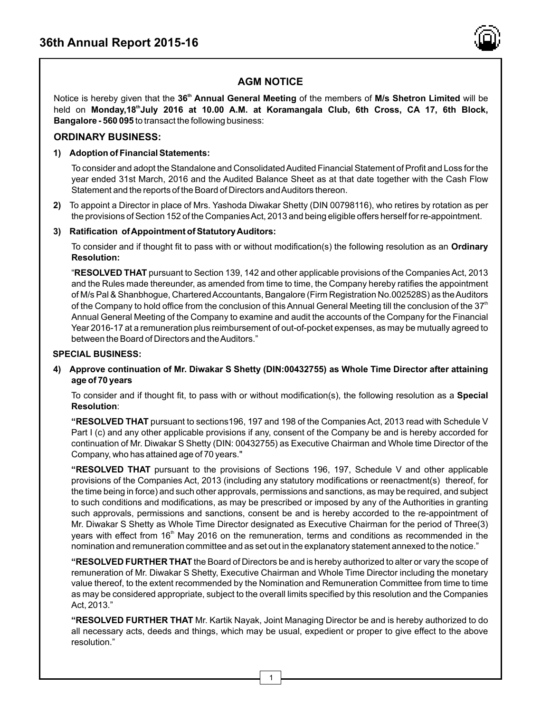

# **AGM NOTICE**

**th** Notice is hereby given that the **36 Annual General Meeting** of the members of **M/s Shetron Limited** will be **th** held on **Monday,18 July 2016 at 10.00 A.M. at Koramangala Club, 6th Cross, CA 17, 6th Block, Bangalore - 560 095** to transact the following business:

### **ORDINARY BUSINESS:**

### **1) Adoption of Financial Statements:**

To consider and adopt the Standalone and Consolidated Audited Financial Statement of Profit and Loss for the year ended 31st March, 2016 and the Audited Balance Sheet as at that date together with the Cash Flow Statement and the reports of the Board of Directors and Auditors thereon.

**2)** To appoint a Director in place of Mrs. Yashoda Diwakar Shetty (DIN 00798116), who retires by rotation as per the provisions of Section 152 of the Companies Act, 2013 and being eligible offers herself for re-appointment.

### **3) Ratification of Appointment of Statutory Auditors:**

To consider and if thought fit to pass with or without modification(s) the following resolution as an **Ordinary Resolution:**

"**RESOLVED THAT** pursuant to Section 139, 142 and other applicable provisions of the Companies Act, 2013 and the Rules made thereunder, as amended from time to time, the Company hereby ratifies the appointment of M/s Pal & Shanbhogue, Chartered Accountants, Bangalore (Firm Registration No.002528S) as the Auditors of the Company to hold office from the conclusion of this Annual General Meeting till the conclusion of the  $37<sup>th</sup>$ Annual General Meeting of the Company to examine and audit the accounts of the Company for the Financial Year 2016-17 at a remuneration plus reimbursement of out-of-pocket expenses, as may be mutually agreed to between the Board of Directors and the Auditors."

#### **SPECIAL BUSINESS:**

### **4) Approve continuation of Mr. Diwakar S Shetty (DIN:00432755) as Whole Time Director after attaining age of 70 years**

To consider and if thought fit, to pass with or without modification(s), the following resolution as a **Special Resolution**:

**"RESOLVED THAT** pursuant to sections196, 197 and 198 of the Companies Act, 2013 read with Schedule V Part I (c) and any other applicable provisions if any, consent of the Company be and is hereby accorded for continuation of Mr. Diwakar S Shetty (DIN: 00432755) as Executive Chairman and Whole time Director of the Company, who has attained age of 70 years."

**"RESOLVED THAT** pursuant to the provisions of Sections 196, 197, Schedule V and other applicable provisions of the Companies Act, 2013 (including any statutory modifications or reenactment(s) thereof, for the time being in force) and such other approvals, permissions and sanctions, as may be required, and subject to such conditions and modifications, as may be prescribed or imposed by any of the Authorities in granting such approvals, permissions and sanctions, consent be and is hereby accorded to the re-appointment of Mr. Diwakar S Shetty as Whole Time Director designated as Executive Chairman for the period of Three(3) years with effect from 16<sup>th</sup> May 2016 on the remuneration, terms and conditions as recommended in the nomination and remuneration committee and as set out in the explanatory statement annexed to the notice."

**"RESOLVED FURTHER THAT** the Board of Directors be and is hereby authorized to alter or vary the scope of remuneration of Mr. Diwakar S Shetty, Executive Chairman and Whole Time Director including the monetary value thereof, to the extent recommended by the Nomination and Remuneration Committee from time to time as may be considered appropriate, subject to the overall limits specified by this resolution and the Companies Act, 2013."

**"RESOLVED FURTHER THAT** Mr. Kartik Nayak, Joint Managing Director be and is hereby authorized to do all necessary acts, deeds and things, which may be usual, expedient or proper to give effect to the above resolution."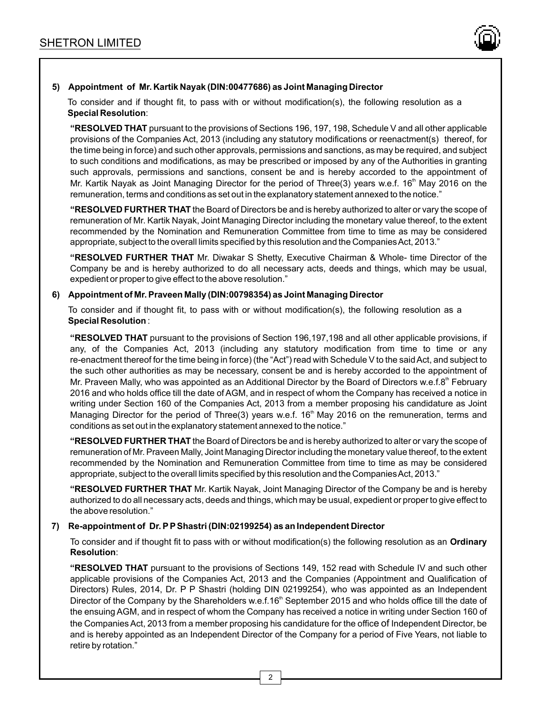

### **5) Appointment of Mr. Kartik Nayak (DIN:00477686) as Joint Managing Director**

To consider and if thought fit, to pass with or without modification(s), the following resolution as a **Special Resolution**:

**"RESOLVED THAT** pursuant to the provisions of Sections 196, 197, 198, Schedule V and all other applicable provisions of the Companies Act, 2013 (including any statutory modifications or reenactment(s) thereof, for the time being in force) and such other approvals, permissions and sanctions, as may be required, and subject to such conditions and modifications, as may be prescribed or imposed by any of the Authorities in granting such approvals, permissions and sanctions, consent be and is hereby accorded to the appointment of Mr. Kartik Nayak as Joint Managing Director for the period of Three(3) years w.e.f. 16<sup>th</sup> May 2016 on the remuneration, terms and conditions as set out in the explanatory statement annexed to the notice."

**"RESOLVED FURTHER THAT** the Board of Directors be and is hereby authorized to alter or vary the scope of remuneration of Mr. Kartik Nayak, Joint Managing Director including the monetary value thereof, to the extent recommended by the Nomination and Remuneration Committee from time to time as may be considered appropriate, subject to the overall limits specified by this resolution and the Companies Act, 2013."

**"RESOLVED FURTHER THAT** Mr. Diwakar S Shetty, Executive Chairman & Whole- time Director of the Company be and is hereby authorized to do all necessary acts, deeds and things, which may be usual, expedient or proper to give effect to the above resolution."

#### **6) Appointment of Mr. Praveen Mally (DIN:00798354) as Joint Managing Director**

To consider and if thought fit, to pass with or without modification(s), the following resolution as a **Special Resolution** :

**"RESOLVED THAT** pursuant to the provisions of Section 196,197,198 and all other applicable provisions, if any, of the Companies Act, 2013 (including any statutory modification from time to time or any re-enactment thereof for the time being in force) (the "Act") read with Schedule V to the said Act, and subject to the such other authorities as may be necessary, consent be and is hereby accorded to the appointment of Mr. Praveen Mally, who was appointed as an Additional Director by the Board of Directors w.e.f.8<sup>th</sup> February 2016 and who holds office till the date of AGM, and in respect of whom the Company has received a notice in writing under Section 160 of the Companies Act, 2013 from a member proposing his candidature as Joint Managing Director for the period of Three(3) years w.e.f. 16<sup>th</sup> May 2016 on the remuneration, terms and conditions as set out in the explanatory statement annexed to the notice."

**"RESOLVED FURTHER THAT** the Board of Directors be and is hereby authorized to alter or vary the scope of remuneration of Mr. Praveen Mally, Joint Managing Director including the monetary value thereof, to the extent recommended by the Nomination and Remuneration Committee from time to time as may be considered appropriate, subject to the overall limits specified by this resolution and the Companies Act, 2013."

**"RESOLVED FURTHER THAT** Mr. Kartik Nayak, Joint Managing Director of the Company be and is hereby authorized to do all necessary acts, deeds and things, which may be usual, expedient or proper to give effect to the above resolution."

### **7) Re-appointment of Dr. PPShastri (DIN:02199254) as an Independent Director**

To consider and if thought fit to pass with or without modification(s) the following resolution as an **Ordinary Resolution**:

**"RESOLVED THAT** pursuant to the provisions of Sections 149, 152 read with Schedule IV and such other applicable provisions of the Companies Act, 2013 and the Companies (Appointment and Qualification of Directors) Rules, 2014, Dr. P P Shastri (holding DIN 02199254), who was appointed as an Independent Director of the Company by the Shareholders w.e.f.16<sup>th</sup> September 2015 and who holds office till the date of the ensuing AGM, and in respect of whom the Company has received a notice in writing under Section 160 of the Companies Act, 2013 from a member proposing his candidature for the office of Independent Director, be and is hereby appointed as an Independent Director of the Company for a period of Five Years, not liable to retire by rotation."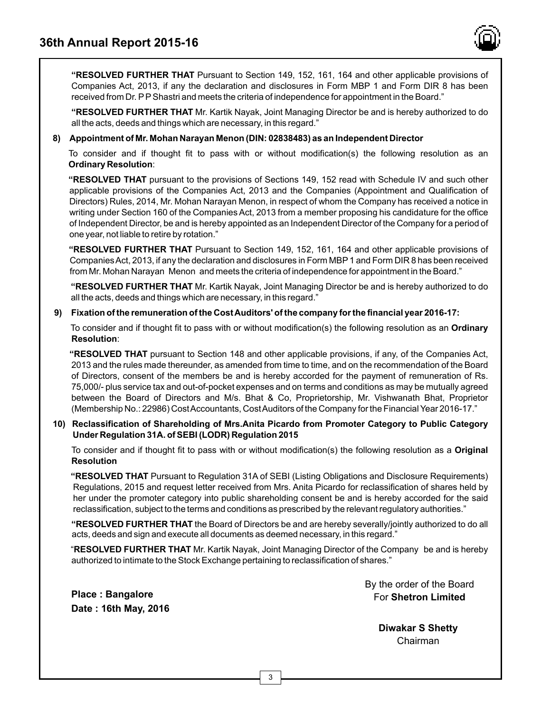

**"RESOLVED FURTHER THAT** Pursuant to Section 149, 152, 161, 164 and other applicable provisions of Companies Act, 2013, if any the declaration and disclosures in Form MBP 1 and Form DIR 8 has been received from Dr. PPShastri and meets the criteria of independence for appointment in the Board."

**"RESOLVED FURTHER THAT** Mr. Kartik Nayak, Joint Managing Director be and is hereby authorized to do all the acts, deeds and things which are necessary, in this regard."

### **8) Appointment of Mr. Mohan Narayan Menon (DIN: 02838483) as an Independent Director**

To consider and if thought fit to pass with or without modification(s) the following resolution as an **Ordinary Resolution**:

**"RESOLVED THAT** pursuant to the provisions of Sections 149, 152 read with Schedule IV and such other applicable provisions of the Companies Act, 2013 and the Companies (Appointment and Qualification of Directors) Rules, 2014, Mr. Mohan Narayan Menon, in respect of whom the Company has received a notice in writing under Section 160 of the Companies Act, 2013 from a member proposing his candidature for the office of Independent Director, be and is hereby appointed as an Independent Director of the Company for a period of one year, not liable to retire by rotation."

**"RESOLVED FURTHER THAT** Pursuant to Section 149, 152, 161, 164 and other applicable provisions of Companies Act, 2013, if any the declaration and disclosures in Form MBP1 and Form DIR 8 has been received from Mr. Mohan Narayan Menon and meets the criteria of independence for appointment in the Board."

**"RESOLVED FURTHER THAT** Mr. Kartik Nayak, Joint Managing Director be and is hereby authorized to do all the acts, deeds and things which are necessary, in this regard."

### **9) Fixation of the remuneration of the Cost Auditors' of the company for the financial year 2016-17:**

To consider and if thought fit to pass with or without modification(s) the following resolution as an **Ordinary Resolution**:

**"RESOLVED THAT** pursuant to Section 148 and other applicable provisions, if any, of the Companies Act, 2013 and the rules made thereunder, as amended from time to time, and on the recommendation of the Board of Directors, consent of the members be and is hereby accorded for the payment of remuneration of Rs. 75,000/- plus service tax and out-of-pocket expenses and on terms and conditions as may be mutually agreed between the Board of Directors and M/s. Bhat & Co, Proprietorship, Mr. Vishwanath Bhat, Proprietor (Membership No.: 22986) Cost Accountants, Cost Auditors of the Company for the Financial Year 2016-17."

### **10) Reclassification of Shareholding of Mrs.Anita Picardo from Promoter Category to Public Category Under Regulation 31A. of SEBI (LODR) Regulation 2015**

To consider and if thought fit to pass with or without modification(s) the following resolution as a **Original Resolution**

**"RESOLVED THAT** Pursuant to Regulation 31A of SEBI (Listing Obligations and Disclosure Requirements) Regulations, 2015 and request letter received from Mrs. Anita Picardo for reclassification of shares held by her under the promoter category into public shareholding consent be and is hereby accorded for the said reclassification, subject to the terms and conditions as prescribed by the relevant regulatory authorities."

**"RESOLVED FURTHER THAT** the Board of Directors be and are hereby severally/jointly authorized to do all acts, deeds and sign and execute all documents as deemed necessary, in this regard."

"**RESOLVED FURTHER THAT** Mr. Kartik Nayak, Joint Managing Director of the Company be and is hereby authorized to intimate to the Stock Exchange pertaining to reclassification of shares."

**Place : Bangalore Date : 16th May, 2016** By the order of the Board For **Shetron Limited**

> **Diwakar S Shetty** Chairman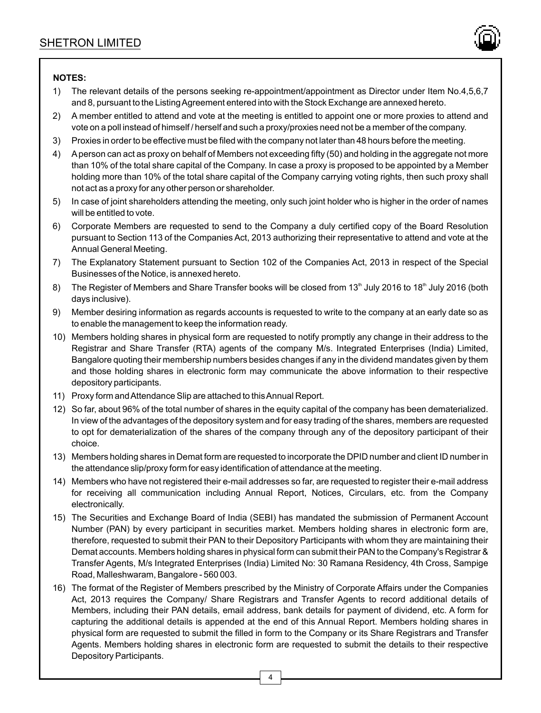

### **NOTES:**

- 1) The relevant details of the persons seeking re-appointment/appointment as Director under Item No.4,5,6,7 and 8, pursuant to the Listing Agreement entered into with the Stock Exchange are annexed hereto.
- 2) A member entitled to attend and vote at the meeting is entitled to appoint one or more proxies to attend and vote on a poll instead of himself / herself and such a proxy/proxies need not be a member of the company.
- 3) Proxies in order to be effective must be filed with the company not later than 48 hours before the meeting.
- 4) Aperson can act as proxy on behalf of Members not exceeding fifty (50) and holding in the aggregate not more than 10% of the total share capital of the Company. In case a proxy is proposed to be appointed by a Member holding more than 10% of the total share capital of the Company carrying voting rights, then such proxy shall not act as a proxy for any other person or shareholder.
- 5) In case of joint shareholders attending the meeting, only such joint holder who is higher in the order of names will be entitled to vote.
- 6) Corporate Members are requested to send to the Company a duly certified copy of the Board Resolution pursuant to Section 113 of the Companies Act, 2013 authorizing their representative to attend and vote at the Annual General Meeting.
- 7) The Explanatory Statement pursuant to Section 102 of the Companies Act, 2013 in respect of the Special Businesses of the Notice, is annexed hereto.
- 8) The Register of Members and Share Transfer books will be closed from 13<sup>th</sup> July 2016 to 18<sup>th</sup> July 2016 (both days inclusive).
- 9) Member desiring information as regards accounts is requested to write to the company at an early date so as to enable the management to keep the information ready.
- 10) Members holding shares in physical form are requested to notify promptly any change in their address to the Registrar and Share Transfer (RTA) agents of the company M/s. Integrated Enterprises (India) Limited, Bangalore quoting their membership numbers besides changes if any in the dividend mandates given by them and those holding shares in electronic form may communicate the above information to their respective depository participants.
- 11) Proxy form and Attendance Slip are attached to this Annual Report.
- 12) So far, about 96% of the total number of shares in the equity capital of the company has been dematerialized. In view of the advantages of the depository system and for easy trading of the shares, members are requested to opt for dematerialization of the shares of the company through any of the depository participant of their choice.
- 13) Members holding shares in Demat form are requested to incorporate the DPID number and client ID number in the attendance slip/proxy form for easy identification of attendance at the meeting.
- 14) Members who have not registered their e-mail addresses so far, are requested to register their e-mail address for receiving all communication including Annual Report, Notices, Circulars, etc. from the Company electronically.
- 15) The Securities and Exchange Board of India (SEBI) has mandated the submission of Permanent Account Number (PAN) by every participant in securities market. Members holding shares in electronic form are, therefore, requested to submit their PAN to their Depository Participants with whom they are maintaining their Demat accounts. Members holding shares in physical form can submit their PAN to the Company's Registrar & Transfer Agents, M/s Integrated Enterprises (India) Limited No: 30 Ramana Residency, 4th Cross, Sampige Road, Malleshwaram, Bangalore - 560 003.
- 16) The format of the Register of Members prescribed by the Ministry of Corporate Affairs under the Companies Act, 2013 requires the Company/ Share Registrars and Transfer Agents to record additional details of Members, including their PAN details, email address, bank details for payment of dividend, etc. A form for capturing the additional details is appended at the end of this Annual Report. Members holding shares in physical form are requested to submit the filled in form to the Company or its Share Registrars and Transfer Agents. Members holding shares in electronic form are requested to submit the details to their respective Depository Participants.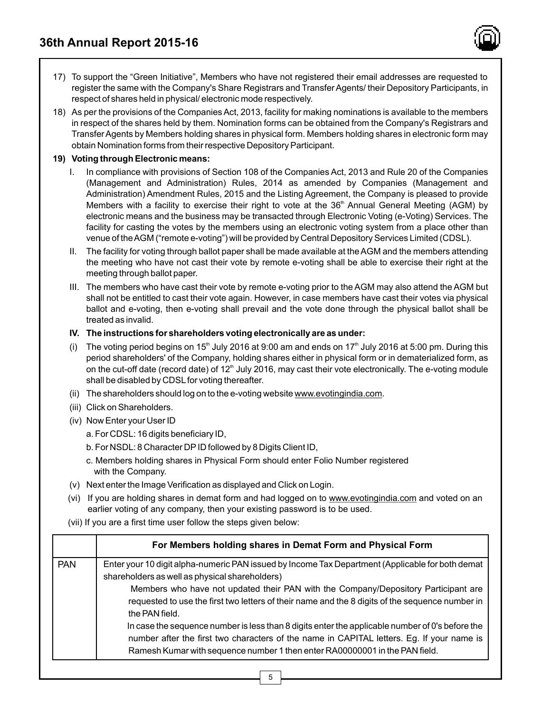- 17) To support the "Green Initiative", Members who have not registered their email addresses are requested to register the same with the Company's Share Registrars and Transfer Agents/ their Depository Participants, in respect of shares held in physical/ electronic mode respectively.
- 18) As per the provisions of the Companies Act, 2013, facility for making nominations is available to the members in respect of the shares held by them. Nomination forms can be obtained from the Company's Registrars and Transfer Agents by Members holding shares in physical form. Members holding shares in electronic form may obtain Nomination forms from their respective Depository Participant.

### **19) Voting through Electronic means:**

- I. In compliance with provisions of Section 108 of the Companies Act, 2013 and Rule 20 of the Companies (Management and Administration) Rules, 2014 as amended by Companies (Management and Administration) Amendment Rules, 2015 and the Listing Agreement, the Company is pleased to provide Members with a facility to exercise their right to vote at the  $36<sup>th</sup>$  Annual General Meeting (AGM) by electronic means and the business may be transacted through Electronic Voting (e-Voting) Services. The facility for casting the votes by the members using an electronic voting system from a place other than venue of the AGM ("remote e-voting") will be provided by Central Depository Services Limited (CDSL).
- II. The facility for voting through ballot paper shall be made available at the AGM and the members attending the meeting who have not cast their vote by remote e-voting shall be able to exercise their right at the meeting through ballot paper.
- III. The members who have cast their vote by remote e-voting prior to the AGM may also attend the AGM but shall not be entitled to cast their vote again. However, in case members have cast their votes via physical ballot and e-voting, then e-voting shall prevail and the vote done through the physical ballot shall be treated as invalid.
- **IV. The instructions for shareholders voting electronically are as under:**
- (i) The voting period begins on 15<sup>th</sup> July 2016 at 9:00 am and ends on 17<sup>th</sup> July 2016 at 5:00 pm. During this period shareholders' of the Company, holding shares either in physical form or in dematerialized form, as on the cut-off date (record date) of  $12<sup>th</sup>$  July 2016, may cast their vote electronically. The e-voting module shall be disabled by CDSL for voting thereafter.
- (ii) The shareholders should log on to the e-voting website www.evotingindia.com.
- (iii) Click on Shareholders.
- (iv) Now Enter your User ID
	- a. For CDSL: 16 digits beneficiary ID,
	- b. For NSDL: 8 Character DPID followed by 8 Digits Client ID,
	- c. Members holding shares in Physical Form should enter Folio Number registered with the Company.
- (v) Next enter the Image Verification as displayed and Click on Login.
- (vi) If you are holding shares in demat form and had logged on to www.evotingindia.com and voted on an earlier voting of any company, then your existing password is to be used.
- (vii) If you are a first time user follow the steps given below:

|            | For Members holding shares in Demat Form and Physical Form                                                                                                                                                                                                                                                                                                                                                                                                                                                                                                    |
|------------|---------------------------------------------------------------------------------------------------------------------------------------------------------------------------------------------------------------------------------------------------------------------------------------------------------------------------------------------------------------------------------------------------------------------------------------------------------------------------------------------------------------------------------------------------------------|
| <b>PAN</b> | Enter your 10 digit alpha-numeric PAN issued by Income Tax Department (Applicable for both demat<br>shareholders as well as physical shareholders)<br>Members who have not updated their PAN with the Company/Depository Participant are<br>requested to use the first two letters of their name and the 8 digits of the sequence number in<br>the PAN field.<br>In case the sequence number is less than 8 digits enter the applicable number of 0's before the<br>number after the first two characters of the name in CAPITAL letters. Eg. If your name is |
|            | Ramesh Kumar with sequence number 1 then enter RA00000001 in the PAN field.                                                                                                                                                                                                                                                                                                                                                                                                                                                                                   |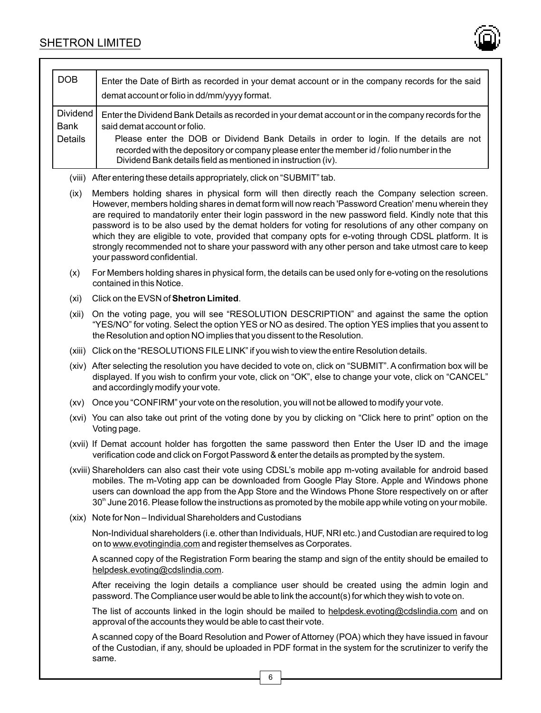

| <b>DOB</b>                                | Enter the Date of Birth as recorded in your demat account or in the company records for the said<br>demat account or folio in dd/mm/yyyy format.                                                                                                                                                                                                                                                                                                                                                                                                                                                                                                                     |
|-------------------------------------------|----------------------------------------------------------------------------------------------------------------------------------------------------------------------------------------------------------------------------------------------------------------------------------------------------------------------------------------------------------------------------------------------------------------------------------------------------------------------------------------------------------------------------------------------------------------------------------------------------------------------------------------------------------------------|
| Dividend<br><b>Bank</b><br><b>Details</b> | Enter the Dividend Bank Details as recorded in your demat account or in the company records for the<br>said demat account or folio.<br>Please enter the DOB or Dividend Bank Details in order to login. If the details are not<br>recorded with the depository or company please enter the member id / folio number in the<br>Dividend Bank details field as mentioned in instruction (iv).                                                                                                                                                                                                                                                                          |
| (viii)                                    | After entering these details appropriately, click on "SUBMIT" tab.                                                                                                                                                                                                                                                                                                                                                                                                                                                                                                                                                                                                   |
| (ix)                                      | Members holding shares in physical form will then directly reach the Company selection screen.<br>However, members holding shares in demat form will now reach 'Password Creation' menu wherein they<br>are required to mandatorily enter their login password in the new password field. Kindly note that this<br>password is to be also used by the demat holders for voting for resolutions of any other company on<br>which they are eligible to vote, provided that company opts for e-voting through CDSL platform. It is<br>strongly recommended not to share your password with any other person and take utmost care to keep<br>your password confidential. |
| (x)                                       | For Members holding shares in physical form, the details can be used only for e-voting on the resolutions<br>contained in this Notice.                                                                                                                                                                                                                                                                                                                                                                                                                                                                                                                               |
| (xi)                                      | Click on the EVSN of Shetron Limited.                                                                                                                                                                                                                                                                                                                                                                                                                                                                                                                                                                                                                                |
| (xii)                                     | On the voting page, you will see "RESOLUTION DESCRIPTION" and against the same the option<br>"YES/NO" for voting. Select the option YES or NO as desired. The option YES implies that you assent to<br>the Resolution and option NO implies that you dissent to the Resolution.                                                                                                                                                                                                                                                                                                                                                                                      |
|                                           | (xiii) Click on the "RESOLUTIONS FILE LINK" if you wish to view the entire Resolution details.                                                                                                                                                                                                                                                                                                                                                                                                                                                                                                                                                                       |
|                                           | (xiv) After selecting the resolution you have decided to vote on, click on "SUBMIT". A confirmation box will be<br>displayed. If you wish to confirm your vote, click on "OK", else to change your vote, click on "CANCEL"<br>and accordingly modify your vote.                                                                                                                                                                                                                                                                                                                                                                                                      |
| (xv)                                      | Once you "CONFIRM" your vote on the resolution, you will not be allowed to modify your vote.                                                                                                                                                                                                                                                                                                                                                                                                                                                                                                                                                                         |
|                                           | (xvi) You can also take out print of the voting done by you by clicking on "Click here to print" option on the<br>Voting page.                                                                                                                                                                                                                                                                                                                                                                                                                                                                                                                                       |
|                                           | (xvii) If Demat account holder has forgotten the same password then Enter the User ID and the image<br>verification code and click on Forgot Password & enter the details as prompted by the system.                                                                                                                                                                                                                                                                                                                                                                                                                                                                 |
|                                           | (xviii) Shareholders can also cast their vote using CDSL's mobile app m-voting available for android based<br>mobiles. The m-Voting app can be downloaded from Google Play Store. Apple and Windows phone<br>users can download the app from the App Store and the Windows Phone Store respectively on or after<br>30th June 2016. Please follow the instructions as promoted by the mobile app while voting on your mobile.                                                                                                                                                                                                                                         |
|                                           | (xix) Note for Non - Individual Shareholders and Custodians                                                                                                                                                                                                                                                                                                                                                                                                                                                                                                                                                                                                          |
|                                           | Non-Individual shareholders (i.e. other than Individuals, HUF, NRI etc.) and Custodian are required to log<br>on to www.evotingindia.com and register themselves as Corporates.                                                                                                                                                                                                                                                                                                                                                                                                                                                                                      |
|                                           | A scanned copy of the Registration Form bearing the stamp and sign of the entity should be emailed to<br>helpdesk.evoting@cdslindia.com.                                                                                                                                                                                                                                                                                                                                                                                                                                                                                                                             |
|                                           | After receiving the login details a compliance user should be created using the admin login and<br>password. The Compliance user would be able to link the account(s) for which they wish to vote on.                                                                                                                                                                                                                                                                                                                                                                                                                                                                |
|                                           | The list of accounts linked in the login should be mailed to helpdesk.evoting@cdslindia.com and on<br>approval of the accounts they would be able to cast their vote.                                                                                                                                                                                                                                                                                                                                                                                                                                                                                                |
|                                           | A scanned copy of the Board Resolution and Power of Attorney (POA) which they have issued in favour<br>of the Custodian, if any, should be uploaded in PDF format in the system for the scrutinizer to verify the<br>same.                                                                                                                                                                                                                                                                                                                                                                                                                                           |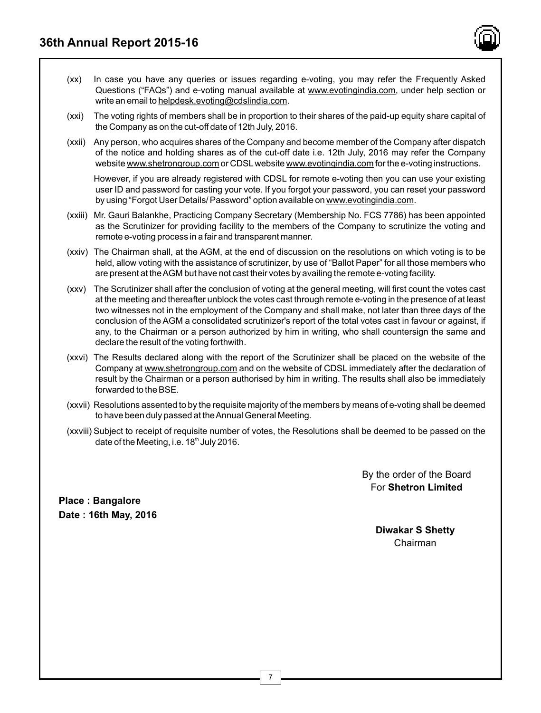

- (xx) In case you have any queries or issues regarding e-voting, you may refer the Frequently Asked Questions ("FAQs") and e-voting manual available at www.evotingindia.com, under help section or write an email to helpdesk.evoting@cdslindia.com.
- (xxi) The voting rights of members shall be in proportion to their shares of the paid-up equity share capital of the Company as on the cut-off date of 12th July, 2016.
- (xxii) Any person, who acquires shares of the Company and become member of the Company after dispatch of the notice and holding shares as of the cut-off date i.e. 12th July, 2016 may refer the Company website www.shetrongroup.com or CDSLwebsite www.evotingindia.com for the e-voting instructions.

However, if you are already registered with CDSL for remote e-voting then you can use your existing user ID and password for casting your vote. If you forgot your password, you can reset your password by using "Forgot User Details/ Password" option available on www.evotingindia.com.

- (xxiii) Mr. Gauri Balankhe, Practicing Company Secretary (Membership No. FCS 7786) has been appointed as the Scrutinizer for providing facility to the members of the Company to scrutinize the voting and remote e-voting process in a fair and transparent manner.
- (xxiv) The Chairman shall, at the AGM, at the end of discussion on the resolutions on which voting is to be held, allow voting with the assistance of scrutinizer, by use of "Ballot Paper" for all those members who are present at the AGM but have not cast their votes by availing the remote e-voting facility.
- (xxv) The Scrutinizer shall after the conclusion of voting at the general meeting, will first count the votes cast at the meeting and thereafter unblock the votes cast through remote e-voting in the presence of at least two witnesses not in the employment of the Company and shall make, not later than three days of the conclusion of the AGM a consolidated scrutinizer's report of the total votes cast in favour or against, if any, to the Chairman or a person authorized by him in writing, who shall countersign the same and declare the result of the voting forthwith.
- (xxvi) The Results declared along with the report of the Scrutinizer shall be placed on the website of the Company at www.shetrongroup.com and on the website of CDSL immediately after the declaration of result by the Chairman or a person authorised by him in writing. The results shall also be immediately forwarded to the BSE.
- (xxvii) Resolutions assented to by the requisite majority of the members by means of e-voting shall be deemed to have been duly passed at the Annual General Meeting.
- (xxviii) Subject to receipt of requisite number of votes, the Resolutions shall be deemed to be passed on the date of the Meeting, i.e.  $18<sup>th</sup>$  July 2016.

By the order of the Board For **Shetron Limited**

**Place : Bangalore Date : 16th May, 2016**

> **Diwakar S Shetty** Chairman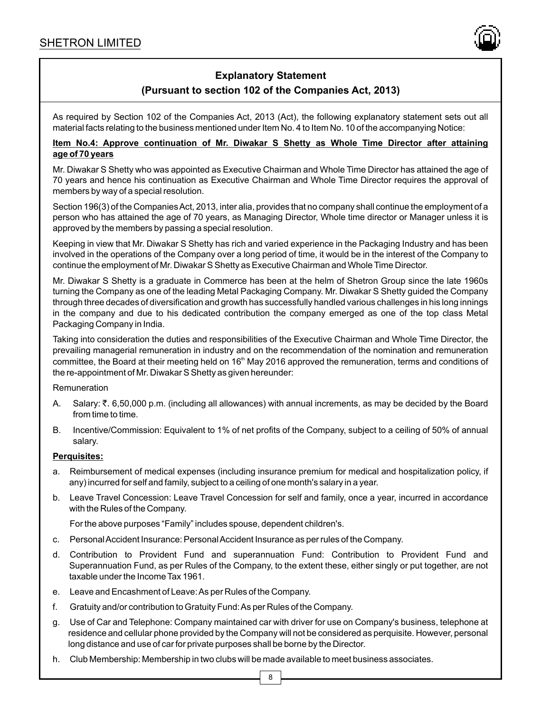

# **Explanatory Statement (Pursuant to section 102 of the Companies Act, 2013)**

As required by Section 102 of the Companies Act, 2013 (Act), the following explanatory statement sets out all material facts relating to the business mentioned under Item No. 4 to Item No. 10 of the accompanying Notice:

### **Item No.4: Approve continuation of Mr. Diwakar S Shetty as Whole Time Director after attaining age of 70 years**

Mr. Diwakar S Shetty who was appointed as Executive Chairman and Whole Time Director has attained the age of 70 years and hence his continuation as Executive Chairman and Whole Time Director requires the approval of members by way of a special resolution.

Section 196(3) of the Companies Act, 2013, inter alia, provides that no company shall continue the employment of a person who has attained the age of 70 years, as Managing Director, Whole time director or Manager unless it is approved by the members by passing a special resolution.

Keeping in view that Mr. Diwakar S Shetty has rich and varied experience in the Packaging Industry and has been involved in the operations of the Company over a long period of time, it would be in the interest of the Company to continue the employment of Mr. Diwakar S Shetty as Executive Chairman and Whole Time Director.

Mr. Diwakar S Shetty is a graduate in Commerce has been at the helm of Shetron Group since the late 1960s turning the Company as one of the leading Metal Packaging Company. Mr. Diwakar S Shetty guided the Company through three decades of diversification and growth has successfully handled various challenges in his long innings in the company and due to his dedicated contribution the company emerged as one of the top class Metal Packaging Company in India.

Taking into consideration the duties and responsibilities of the Executive Chairman and Whole Time Director, the prevailing managerial remuneration in industry and on the recommendation of the nomination and remuneration committee, the Board at their meeting held on 16<sup>th</sup> May 2016 approved the remuneration, terms and conditions of the re-appointment of Mr. Diwakar S Shetty as given hereunder:

### Remuneration

- A. Salary: ₹. 6,50,000 p.m. (including all allowances) with annual increments, as may be decided by the Board from time to time.
- B. Incentive/Commission: Equivalent to 1% of net profits of the Company, subject to a ceiling of 50% of annual salary.

### **Perquisites:**

- a. Reimbursement of medical expenses (including insurance premium for medical and hospitalization policy, if any) incurred for self and family, subject to a ceiling of one month's salary in a year.
- b. Leave Travel Concession: Leave Travel Concession for self and family, once a year, incurred in accordance with the Rules of the Company.

For the above purposes "Family" includes spouse, dependent children's.

- c. Personal Accident Insurance: Personal Accident Insurance as per rules of the Company.
- d. Contribution to Provident Fund and superannuation Fund: Contribution to Provident Fund and Superannuation Fund, as per Rules of the Company, to the extent these, either singly or put together, are not taxable under the Income Tax 1961.
- e. Leave and Encashment of Leave: As per Rules of the Company.
- f. Gratuity and/or contribution to Gratuity Fund: As per Rules of the Company.
- g. Use of Car and Telephone: Company maintained car with driver for use on Company's business, telephone at residence and cellular phone provided by the Company will not be considered as perquisite. However, personal long distance and use of car for private purposes shall be borne by the Director.
- h. Club Membership: Membership in two clubs will be made available to meet business associates.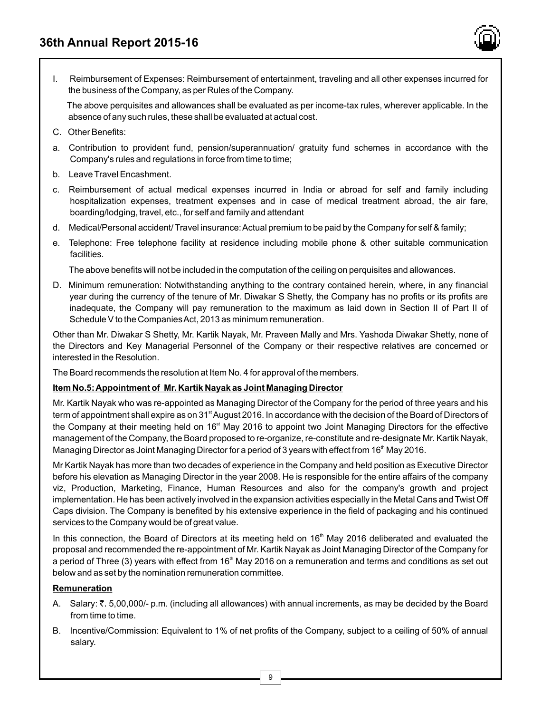

The above perquisites and allowances shall be evaluated as per income-tax rules, wherever applicable. In the absence of any such rules, these shall be evaluated at actual cost.

- C. Other Benefits:
- a. Contribution to provident fund, pension/superannuation/ gratuity fund schemes in accordance with the Company's rules and regulations in force from time to time;
- b. Leave Travel Encashment.
- c. Reimbursement of actual medical expenses incurred in India or abroad for self and family including hospitalization expenses, treatment expenses and in case of medical treatment abroad, the air fare, boarding/lodging, travel, etc., for self and family and attendant
- d. Medical/Personal accident/ Travel insurance: Actual premium to be paid by the Company for self & family;
- e. Telephone: Free telephone facility at residence including mobile phone & other suitable communication facilities.

The above benefits will not be included in the computation of the ceiling on perquisites and allowances.

D. Minimum remuneration: Notwithstanding anything to the contrary contained herein, where, in any financial year during the currency of the tenure of Mr. Diwakar S Shetty, the Company has no profits or its profits are inadequate, the Company will pay remuneration to the maximum as laid down in Section II of Part II of Schedule V to the Companies Act, 2013 as minimum remuneration.

Other than Mr. Diwakar S Shetty, Mr. Kartik Nayak, Mr. Praveen Mally and Mrs. Yashoda Diwakar Shetty, none of the Directors and Key Managerial Personnel of the Company or their respective relatives are concerned or interested in the Resolution.

The Board recommends the resolution at Item No. 4 for approval of the members.

### **Item No.5: Appointment of Mr. Kartik Nayak as Joint Managing Director**

Mr. Kartik Nayak who was re-appointed as Managing Director of the Company for the period of three years and his term of appointment shall expire as on 31<sup>st</sup> August 2016. In accordance with the decision of the Board of Directors of the Company at their meeting held on 16<sup>st</sup> May 2016 to appoint two Joint Managing Directors for the effective management of the Company, the Board proposed to re-organize, re-constitute and re-designate Mr. Kartik Nayak, Managing Director as Joint Managing Director for a period of 3 years with effect from 16<sup>th</sup> May 2016.

Mr Kartik Nayak has more than two decades of experience in the Company and held position as Executive Director before his elevation as Managing Director in the year 2008. He is responsible for the entire affairs of the company viz, Production, Marketing, Finance, Human Resources and also for the company's growth and project implementation. He has been actively involved in the expansion activities especially in the Metal Cans and Twist Off Caps division. The Company is benefited by his extensive experience in the field of packaging and his continued services to the Company would be of great value.

In this connection, the Board of Directors at its meeting held on 16<sup>th</sup> May 2016 deliberated and evaluated the proposal and recommended the re-appointment of Mr. Kartik Nayak as Joint Managing Director of the Company for a period of Three (3) years with effect from 16<sup>th</sup> May 2016 on a remuneration and terms and conditions as set out below and as set by the nomination remuneration committee.

### **Remuneration**

- A. Salary: ₹. 5,00,000/- p.m. (including all allowances) with annual increments, as may be decided by the Board from time to time.
- B. Incentive/Commission: Equivalent to 1% of net profits of the Company, subject to a ceiling of 50% of annual salary.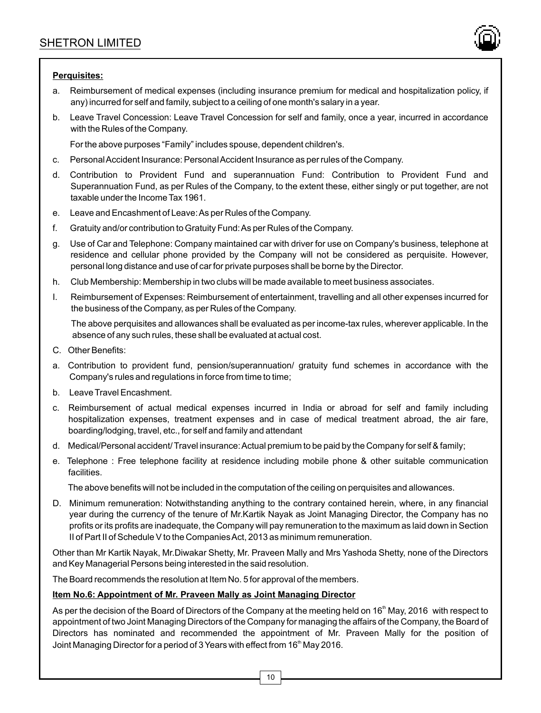

### **Perquisites:**

- a. Reimbursement of medical expenses (including insurance premium for medical and hospitalization policy, if any) incurred for self and family, subject to a ceiling of one month's salary in a year.
- b. Leave Travel Concession: Leave Travel Concession for self and family, once a year, incurred in accordance with the Rules of the Company.

For the above purposes "Family" includes spouse, dependent children's.

- c. Personal Accident Insurance: Personal Accident Insurance as per rules of the Company.
- d. Contribution to Provident Fund and superannuation Fund: Contribution to Provident Fund and Superannuation Fund, as per Rules of the Company, to the extent these, either singly or put together, are not taxable under the Income Tax 1961.
- e. Leave and Encashment of Leave: As per Rules of the Company.
- f. Gratuity and/or contribution to Gratuity Fund: As per Rules of the Company.
- g. Use of Car and Telephone: Company maintained car with driver for use on Company's business, telephone at residence and cellular phone provided by the Company will not be considered as perquisite. However, personal long distance and use of car for private purposes shall be borne by the Director.
- h. Club Membership: Membership in two clubs will be made available to meet business associates.
- I. Reimbursement of Expenses: Reimbursement of entertainment, travelling and all other expenses incurred for the business of the Company, as per Rules of the Company.

The above perquisites and allowances shall be evaluated as per income-tax rules, wherever applicable. In the absence of any such rules, these shall be evaluated at actual cost.

- C. Other Benefits:
- a. Contribution to provident fund, pension/superannuation/ gratuity fund schemes in accordance with the Company's rules and regulations in force from time to time;
- b. Leave Travel Encashment.
- c. Reimbursement of actual medical expenses incurred in India or abroad for self and family including hospitalization expenses, treatment expenses and in case of medical treatment abroad, the air fare, boarding/lodging, travel, etc., for self and family and attendant
- d. Medical/Personal accident/ Travel insurance: Actual premium to be paid by the Company for self & family;
- e. Telephone : Free telephone facility at residence including mobile phone & other suitable communication facilities.

The above benefits will not be included in the computation of the ceiling on perquisites and allowances.

D. Minimum remuneration: Notwithstanding anything to the contrary contained herein, where, in any financial year during the currency of the tenure of Mr.Kartik Nayak as Joint Managing Director, the Company has no profits or its profits are inadequate, the Company will pay remuneration to the maximum as laid down in Section II of Part II of Schedule V to the Companies Act, 2013 as minimum remuneration.

Other than Mr Kartik Nayak, Mr.Diwakar Shetty, Mr. Praveen Mally and Mrs Yashoda Shetty, none of the Directors and Key Managerial Persons being interested in the said resolution.

The Board recommends the resolution at Item No. 5 for approval of the members.

### **Item No.6: Appointment of Mr. Praveen Mally as Joint Managing Director**

As per the decision of the Board of Directors of the Company at the meeting held on 16<sup>th</sup> May, 2016 with respect to appointment of two Joint Managing Directors of the Company for managing the affairs of the Company, the Board of Directors has nominated and recommended the appointment of Mr. Praveen Mally for the position of Joint Managing Director for a period of 3 Years with effect from 16<sup>th</sup> May 2016.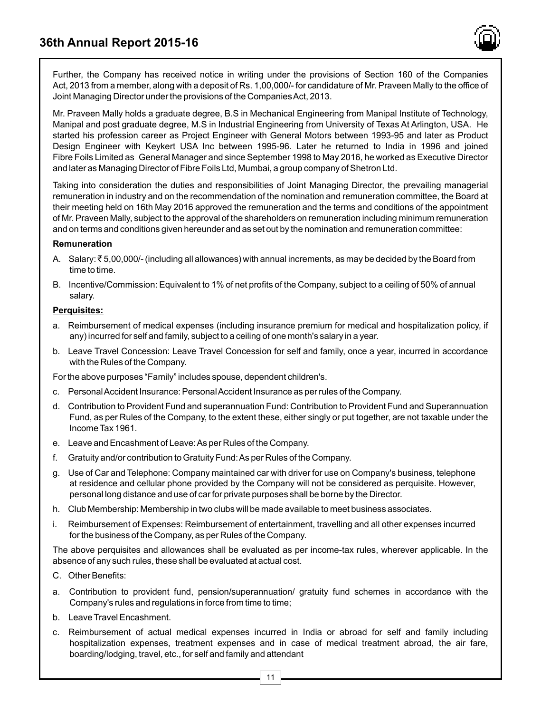

Further, the Company has received notice in writing under the provisions of Section 160 of the Companies Act, 2013 from a member, along with a deposit of Rs. 1,00,000/- for candidature of Mr. Praveen Mally to the office of Joint Managing Director under the provisions of the Companies Act, 2013.

Mr. Praveen Mally holds a graduate degree, B.S in Mechanical Engineering from Manipal Institute of Technology, Manipal and post graduate degree, M.S in Industrial Engineering from University of Texas At Arlington, USA. He started his profession career as Project Engineer with General Motors between 1993-95 and later as Product Design Engineer with Keykert USA Inc between 1995-96. Later he returned to India in 1996 and joined Fibre Foils Limited as General Manager and since September 1998 to May 2016, he worked as Executive Director and later as Managing Director of Fibre Foils Ltd, Mumbai, a group company of Shetron Ltd.

Taking into consideration the duties and responsibilities of Joint Managing Director, the prevailing managerial remuneration in industry and on the recommendation of the nomination and remuneration committee, the Board at their meeting held on 16th May 2016 approved the remuneration and the terms and conditions of the appointment of Mr. Praveen Mally, subject to the approval of the shareholders on remuneration including minimum remuneration and on terms and conditions given hereunder and as set out by the nomination and remuneration committee:

### **Remuneration**

- A. Salary:  $\bar{\tau}$  5,00,000/- (including all allowances) with annual increments, as may be decided by the Board from time to time.
- B. Incentive/Commission: Equivalent to 1% of net profits of the Company, subject to a ceiling of 50% of annual salary.

### **Perquisites:**

- a. Reimbursement of medical expenses (including insurance premium for medical and hospitalization policy, if any) incurred for self and family, subject to a ceiling of one month's salary in a year.
- b. Leave Travel Concession: Leave Travel Concession for self and family, once a year, incurred in accordance with the Rules of the Company.

For the above purposes "Family" includes spouse, dependent children's.

- c. Personal Accident Insurance: Personal Accident Insurance as per rules of the Company.
- d. Contribution to Provident Fund and superannuation Fund: Contribution to Provident Fund and Superannuation Fund, as per Rules of the Company, to the extent these, either singly or put together, are not taxable under the Income Tax 1961.
- e. Leave and Encashment of Leave: As per Rules of the Company.
- f. Gratuity and/or contribution to Gratuity Fund: As per Rules of the Company.
- g. Use of Car and Telephone: Company maintained car with driver for use on Company's business, telephone at residence and cellular phone provided by the Company will not be considered as perquisite. However, personal long distance and use of car for private purposes shall be borne by the Director.
- h. Club Membership: Membership in two clubs will be made available to meet business associates.
- i. Reimbursement of Expenses: Reimbursement of entertainment, travelling and all other expenses incurred for the business of the Company, as per Rules of the Company.

The above perquisites and allowances shall be evaluated as per income-tax rules, wherever applicable. In the absence of any such rules, these shall be evaluated at actual cost.

- C. Other Benefits:
- a. Contribution to provident fund, pension/superannuation/ gratuity fund schemes in accordance with the Company's rules and regulations in force from time to time;
- b. Leave Travel Encashment.
- c. Reimbursement of actual medical expenses incurred in India or abroad for self and family including hospitalization expenses, treatment expenses and in case of medical treatment abroad, the air fare, boarding/lodging, travel, etc., for self and family and attendant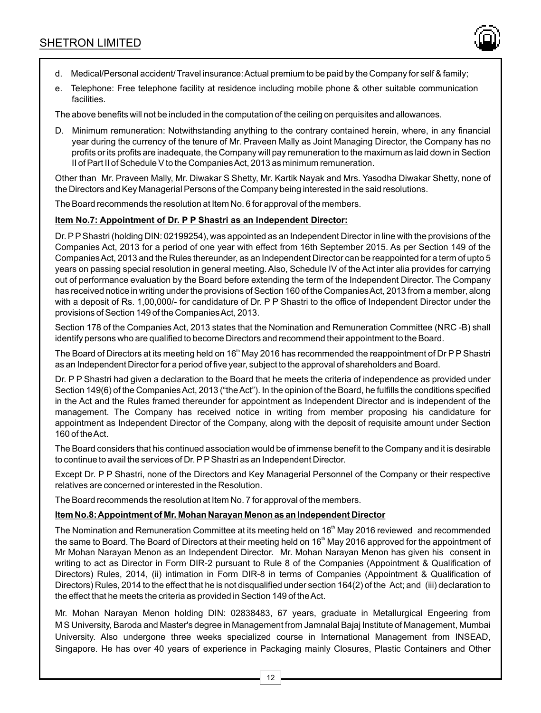

- d. Medical/Personal accident/ Travel insurance: Actual premium to be paid by the Company for self & family;
- e. Telephone: Free telephone facility at residence including mobile phone & other suitable communication facilities.

The above benefits will not be included in the computation of the ceiling on perquisites and allowances.

D. Minimum remuneration: Notwithstanding anything to the contrary contained herein, where, in any financial year during the currency of the tenure of Mr. Praveen Mally as Joint Managing Director, the Company has no profits or its profits are inadequate, the Company will pay remuneration to the maximum as laid down in Section II of Part II of Schedule V to the Companies Act, 2013 as minimum remuneration.

Other than Mr. Praveen Mally, Mr. Diwakar S Shetty, Mr. Kartik Nayak and Mrs. Yasodha Diwakar Shetty, none of the Directors and Key Managerial Persons of the Company being interested in the said resolutions.

The Board recommends the resolution at Item No. 6 for approval of the members.

### **Item No.7: Appointment of Dr. P P Shastri as an Independent Director:**

Dr. PPShastri (holding DIN: 02199254), was appointed as an Independent Director in line with the provisions of the Companies Act, 2013 for a period of one year with effect from 16th September 2015. As per Section 149 of the Companies Act, 2013 and the Rules thereunder, as an Independent Director can be reappointed for a term of upto 5 years on passing special resolution in general meeting. Also, Schedule IV of the Act inter alia provides for carrying out of performance evaluation by the Board before extending the term of the Independent Director. The Company has received notice in writing under the provisions of Section 160 of the Companies Act, 2013 from a member, along with a deposit of Rs. 1,00,000/- for candidature of Dr. P P Shastri to the office of Independent Director under the provisions of Section 149 of the Companies Act, 2013.

Section 178 of the Companies Act, 2013 states that the Nomination and Remuneration Committee (NRC -B) shall identify persons who are qualified to become Directors and recommend their appointment to the Board.

The Board of Directors at its meeting held on 16<sup>th</sup> May 2016 has recommended the reappointment of Dr P P Shastri as an Independent Director for a period of five year, subject to the approval of shareholders and Board.

Dr. P P Shastri had given a declaration to the Board that he meets the criteria of independence as provided under Section 149(6) of the Companies Act, 2013 ("the Act"). In the opinion of the Board, he fulfills the conditions specified in the Act and the Rules framed thereunder for appointment as Independent Director and is independent of the management. The Company has received notice in writing from member proposing his candidature for appointment as Independent Director of the Company, along with the deposit of requisite amount under Section 160 of the Act.

The Board considers that his continued association would be of immense benefit to the Company and it is desirable to continue to avail the services of Dr. PPShastri as an Independent Director.

Except Dr. P P Shastri, none of the Directors and Key Managerial Personnel of the Company or their respective relatives are concerned or interested in the Resolution.

The Board recommends the resolution at Item No. 7 for approval of the members.

### **Item No.8: Appointment of Mr. Mohan Narayan Menon as an Independent Director**

The Nomination and Remuneration Committee at its meeting held on 16<sup>th</sup> May 2016 reviewed and recommended the same to Board. The Board of Directors at their meeting held on 16<sup>th</sup> May 2016 approved for the appointment of Mr Mohan Narayan Menon as an Independent Director. Mr. Mohan Narayan Menon has given his consent in writing to act as Director in Form DIR-2 pursuant to Rule 8 of the Companies (Appointment & Qualification of Directors) Rules, 2014, (ii) intimation in Form DIR-8 in terms of Companies (Appointment & Qualification of Directors) Rules, 2014 to the effect that he is not disqualified under section 164(2) of the Act; and (iii) declaration to the effect that he meets the criteria as provided in Section 149 of the Act.

Mr. Mohan Narayan Menon holding DIN: 02838483, 67 years, graduate in Metallurgical Engeering from M S University, Baroda and Master's degree in Management from Jamnalal Bajaj Institute of Management, Mumbai University. Also undergone three weeks specialized course in International Management from INSEAD, Singapore. He has over 40 years of experience in Packaging mainly Closures, Plastic Containers and Other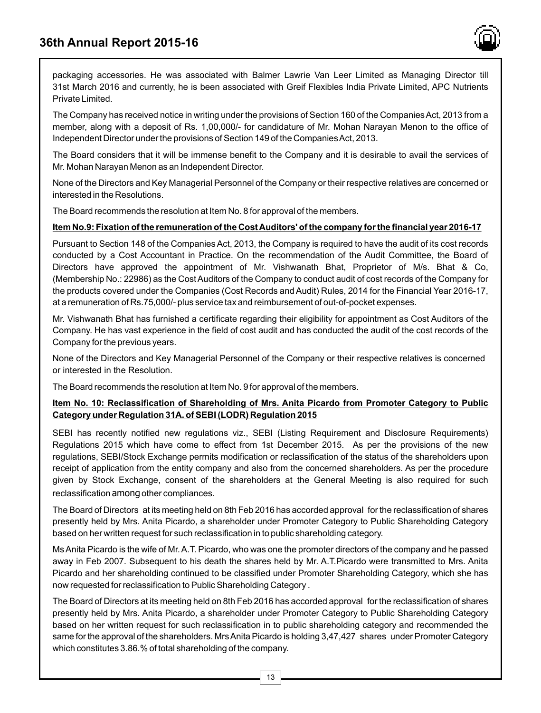

packaging accessories. He was associated with Balmer Lawrie Van Leer Limited as Managing Director till 31st March 2016 and currently, he is been associated with Greif Flexibles India Private Limited, APC Nutrients Private Limited.

The Company has received notice in writing under the provisions of Section 160 of the Companies Act, 2013 from a member, along with a deposit of Rs. 1,00,000/- for candidature of Mr. Mohan Narayan Menon to the office of Independent Director under the provisions of Section 149 of the Companies Act, 2013.

The Board considers that it will be immense benefit to the Company and it is desirable to avail the services of Mr. Mohan Narayan Menon as an Independent Director.

None of the Directors and Key Managerial Personnel of the Company or their respective relatives are concerned or interested in the Resolutions.

The Board recommends the resolution at Item No. 8 for approval of the members.

### **Item No.9: Fixation of the remuneration of the Cost Auditors' of the company for the financial year 2016-17**

Pursuant to Section 148 of the Companies Act, 2013, the Company is required to have the audit of its cost records conducted by a Cost Accountant in Practice. On the recommendation of the Audit Committee, the Board of Directors have approved the appointment of Mr. Vishwanath Bhat, Proprietor of M/s. Bhat & Co, (Membership No.: 22986) as the Cost Auditors of the Company to conduct audit of cost records of the Company for the products covered under the Companies (Cost Records and Audit) Rules, 2014 for the Financial Year 2016-17, at a remuneration of Rs.75,000/- plus service tax and reimbursement of out-of-pocket expenses.

Mr. Vishwanath Bhat has furnished a certificate regarding their eligibility for appointment as Cost Auditors of the Company. He has vast experience in the field of cost audit and has conducted the audit of the cost records of the Company for the previous years.

None of the Directors and Key Managerial Personnel of the Company or their respective relatives is concerned or interested in the Resolution.

The Board recommends the resolution at Item No. 9 for approval of the members.

### **Item No. 10: Reclassification of Shareholding of Mrs. Anita Picardo from Promoter Category to Public Category under Regulation 31A. of SEBI (LODR) Regulation 2015**

SEBI has recently notified new regulations viz., SEBI (Listing Requirement and Disclosure Requirements) Regulations 2015 which have come to effect from 1st December 2015. As per the provisions of the new regulations, SEBI/Stock Exchange permits modification or reclassification of the status of the shareholders upon receipt of application from the entity company and also from the concerned shareholders. As per the procedure given by Stock Exchange, consent of the shareholders at the General Meeting is also required for such reclassification among other compliances.

The Board of Directors at its meeting held on 8th Feb 2016 has accorded approval for the reclassification of shares presently held by Mrs. Anita Picardo, a shareholder under Promoter Category to Public Shareholding Category based on her written request for such reclassification in to public shareholding category.

Ms Anita Picardo is the wife of Mr. A.T. Picardo, who was one the promoter directors of the company and he passed away in Feb 2007. Subsequent to his death the shares held by Mr. A.T.Picardo were transmitted to Mrs. Anita Picardo and her shareholding continued to be classified under Promoter Shareholding Category, which she has now requested for reclassification to Public Shareholding Category .

The Board of Directors at its meeting held on 8th Feb 2016 has accorded approval for the reclassification of shares presently held by Mrs. Anita Picardo, a shareholder under Promoter Category to Public Shareholding Category based on her written request for such reclassification in to public shareholding category and recommended the same for the approval of the shareholders. Mrs Anita Picardo is holding 3,47,427 shares under Promoter Category which constitutes 3.86.% of total shareholding of the company.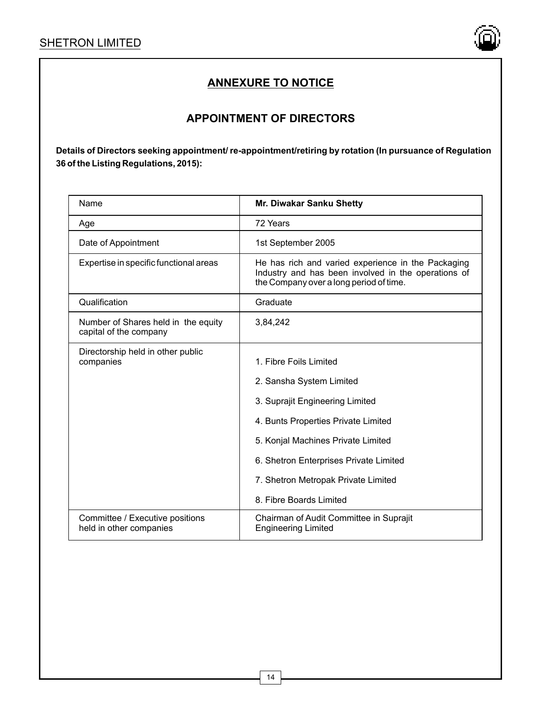

# **APPOINTMENT OF DIRECTORS**

| Name                                                          | Mr. Diwakar Sanku Shetty                                                                                                                             |  |  |
|---------------------------------------------------------------|------------------------------------------------------------------------------------------------------------------------------------------------------|--|--|
| Age                                                           | 72 Years                                                                                                                                             |  |  |
| Date of Appointment                                           | 1st September 2005                                                                                                                                   |  |  |
| Expertise in specific functional areas                        | He has rich and varied experience in the Packaging<br>Industry and has been involved in the operations of<br>the Company over a long period of time. |  |  |
| Qualification                                                 | Graduate                                                                                                                                             |  |  |
| Number of Shares held in the equity<br>capital of the company | 3,84,242                                                                                                                                             |  |  |
| Directorship held in other public<br>companies                | 1. Fibre Foils Limited                                                                                                                               |  |  |
|                                                               | 2. Sansha System Limited                                                                                                                             |  |  |
|                                                               | 3. Suprajit Engineering Limited                                                                                                                      |  |  |
|                                                               | 4. Bunts Properties Private Limited                                                                                                                  |  |  |
|                                                               | 5. Konjal Machines Private Limited                                                                                                                   |  |  |
|                                                               | 6. Shetron Enterprises Private Limited                                                                                                               |  |  |
|                                                               | 7. Shetron Metropak Private Limited                                                                                                                  |  |  |
|                                                               | 8. Fibre Boards Limited                                                                                                                              |  |  |
| Committee / Executive positions<br>held in other companies    | Chairman of Audit Committee in Suprajit<br><b>Engineering Limited</b>                                                                                |  |  |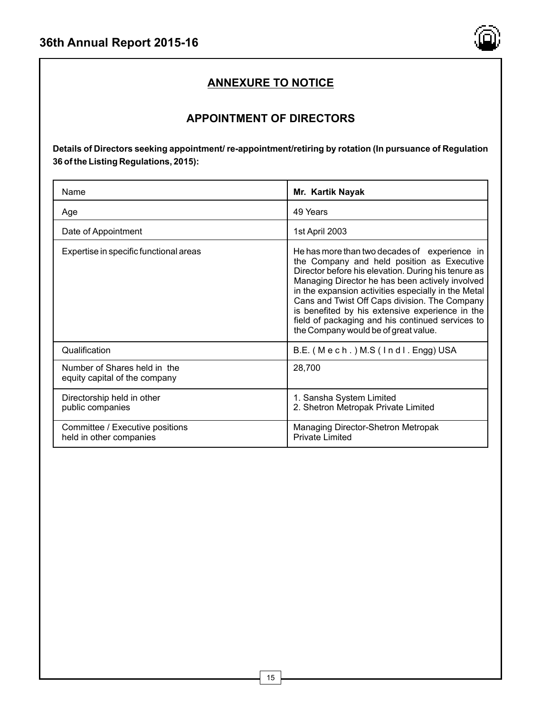

# **APPOINTMENT OF DIRECTORS**

| Name                                                          | Mr. Kartik Nayak                                                                                                                                                                                                                                                                                                                                                                                                                                             |  |
|---------------------------------------------------------------|--------------------------------------------------------------------------------------------------------------------------------------------------------------------------------------------------------------------------------------------------------------------------------------------------------------------------------------------------------------------------------------------------------------------------------------------------------------|--|
| Age                                                           | 49 Years                                                                                                                                                                                                                                                                                                                                                                                                                                                     |  |
| Date of Appointment                                           | 1st April 2003                                                                                                                                                                                                                                                                                                                                                                                                                                               |  |
| Expertise in specific functional areas                        | He has more than two decades of experience in<br>the Company and held position as Executive<br>Director before his elevation. During his tenure as<br>Managing Director he has been actively involved<br>in the expansion activities especially in the Metal<br>Cans and Twist Off Caps division. The Company<br>is benefited by his extensive experience in the<br>field of packaging and his continued services to<br>the Company would be of great value. |  |
| Qualification                                                 | B.E. (Mech.) M.S (Indl. Engg) USA                                                                                                                                                                                                                                                                                                                                                                                                                            |  |
| Number of Shares held in the<br>equity capital of the company | 28,700                                                                                                                                                                                                                                                                                                                                                                                                                                                       |  |
| Directorship held in other<br>public companies                | 1. Sansha System Limited<br>2. Shetron Metropak Private Limited                                                                                                                                                                                                                                                                                                                                                                                              |  |
| Committee / Executive positions<br>held in other companies    | Managing Director-Shetron Metropak<br><b>Private Limited</b>                                                                                                                                                                                                                                                                                                                                                                                                 |  |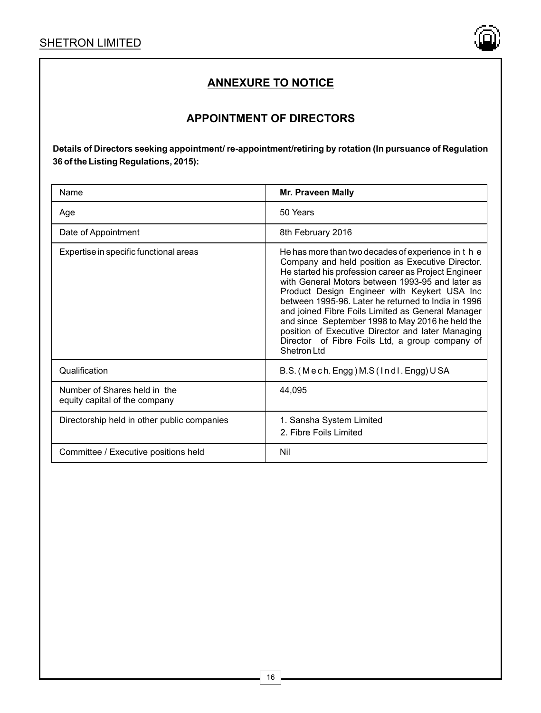

# **APPOINTMENT OF DIRECTORS**

| Name                                                          | Mr. Praveen Mally                                                                                                                                                                                                                                                                                                                                                                                                                                                                                                                                           |
|---------------------------------------------------------------|-------------------------------------------------------------------------------------------------------------------------------------------------------------------------------------------------------------------------------------------------------------------------------------------------------------------------------------------------------------------------------------------------------------------------------------------------------------------------------------------------------------------------------------------------------------|
| Age                                                           | 50 Years                                                                                                                                                                                                                                                                                                                                                                                                                                                                                                                                                    |
| Date of Appointment                                           | 8th February 2016                                                                                                                                                                                                                                                                                                                                                                                                                                                                                                                                           |
| Expertise in specific functional areas                        | He has more than two decades of experience in t h e<br>Company and held position as Executive Director.<br>He started his profession career as Project Engineer<br>with General Motors between 1993-95 and later as<br>Product Design Engineer with Keykert USA Inc<br>between 1995-96. Later he returned to India in 1996<br>and joined Fibre Foils Limited as General Manager<br>and since September 1998 to May 2016 he held the<br>position of Executive Director and later Managing<br>Director of Fibre Foils Ltd, a group company of<br>Shetron I td |
| Qualification                                                 | B.S. (Mech. Engg) M.S (Indl. Engg) USA                                                                                                                                                                                                                                                                                                                                                                                                                                                                                                                      |
| Number of Shares held in the<br>equity capital of the company | 44.095                                                                                                                                                                                                                                                                                                                                                                                                                                                                                                                                                      |
| Directorship held in other public companies                   | 1. Sansha System Limited<br>2. Fibre Foils Limited                                                                                                                                                                                                                                                                                                                                                                                                                                                                                                          |
| Committee / Executive positions held                          | Nil                                                                                                                                                                                                                                                                                                                                                                                                                                                                                                                                                         |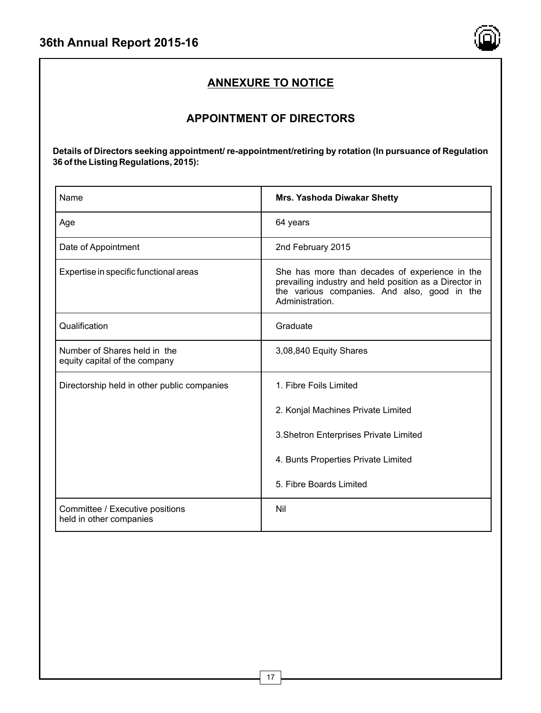

# **APPOINTMENT OF DIRECTORS**

| Name                                                          | <b>Mrs. Yashoda Diwakar Shetty</b>                                                                                                                                          |  |
|---------------------------------------------------------------|-----------------------------------------------------------------------------------------------------------------------------------------------------------------------------|--|
| Age                                                           | 64 years                                                                                                                                                                    |  |
| Date of Appointment                                           | 2nd February 2015                                                                                                                                                           |  |
| Expertise in specific functional areas                        | She has more than decades of experience in the<br>prevailing industry and held position as a Director in<br>the various companies. And also, good in the<br>Administration. |  |
| Qualification                                                 | Graduate                                                                                                                                                                    |  |
| Number of Shares held in the<br>equity capital of the company | 3,08,840 Equity Shares                                                                                                                                                      |  |
| Directorship held in other public companies                   | 1. Fibre Foils Limited                                                                                                                                                      |  |
|                                                               | 2. Konjal Machines Private Limited                                                                                                                                          |  |
|                                                               | 3. Shetron Enterprises Private Limited                                                                                                                                      |  |
|                                                               | 4. Bunts Properties Private Limited                                                                                                                                         |  |
|                                                               | 5. Fibre Boards Limited                                                                                                                                                     |  |
| Committee / Executive positions<br>held in other companies    | Nil                                                                                                                                                                         |  |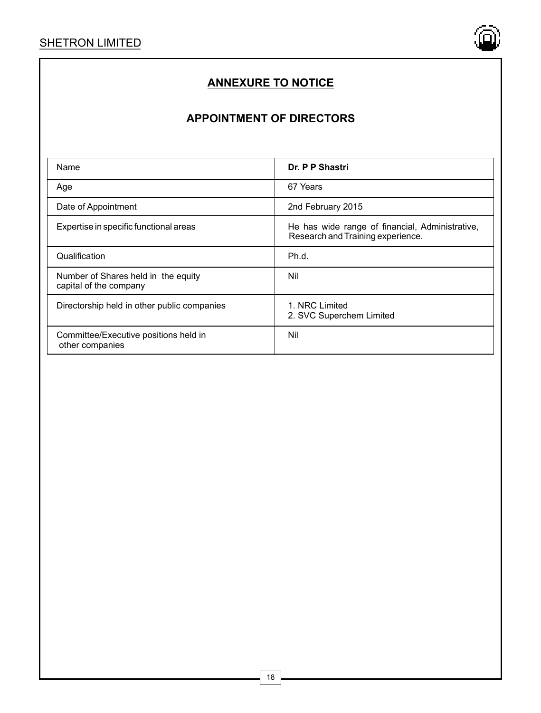

# **APPOINTMENT OF DIRECTORS**

| Name                                                          | Dr. P P Shastri                                                                      |
|---------------------------------------------------------------|--------------------------------------------------------------------------------------|
| Age                                                           | 67 Years                                                                             |
| Date of Appointment                                           | 2nd February 2015                                                                    |
| Expertise in specific functional areas                        | He has wide range of financial, Administrative,<br>Research and Training experience. |
| Qualification                                                 | Ph.d.                                                                                |
| Number of Shares held in the equity<br>capital of the company | Nil                                                                                  |
| Directorship held in other public companies                   | 1. NRC Limited<br>2. SVC Superchem Limited                                           |
| Committee/Executive positions held in<br>other companies      | Nil                                                                                  |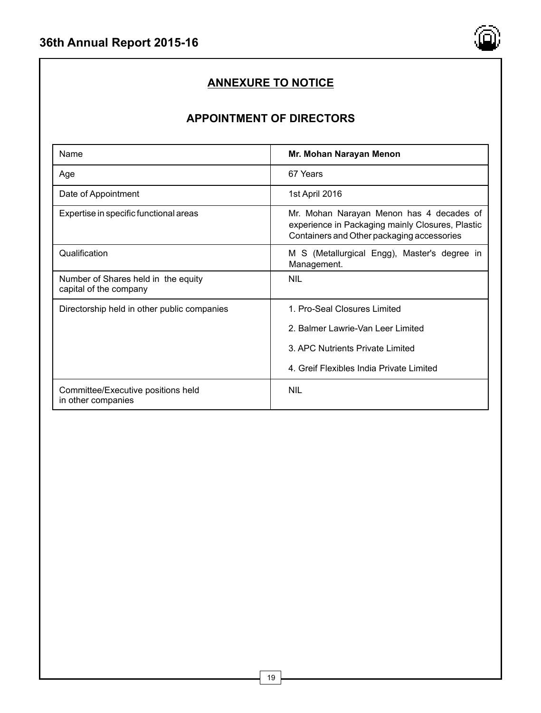

# **APPOINTMENT OF DIRECTORS**

| Name                                                          | Mr. Mohan Narayan Menon                                                                                                                    |
|---------------------------------------------------------------|--------------------------------------------------------------------------------------------------------------------------------------------|
| Age                                                           | 67 Years                                                                                                                                   |
| Date of Appointment                                           | 1st April 2016                                                                                                                             |
| Expertise in specific functional areas                        | Mr. Mohan Narayan Menon has 4 decades of<br>experience in Packaging mainly Closures, Plastic<br>Containers and Other packaging accessories |
| Qualification                                                 | M S (Metallurgical Engg), Master's degree in<br>Management.                                                                                |
| Number of Shares held in the equity<br>capital of the company | <b>NIL</b>                                                                                                                                 |
| Directorship held in other public companies                   | 1. Pro-Seal Closures Limited                                                                                                               |
|                                                               | 2. Balmer Lawrie-Van Leer Limited                                                                                                          |
|                                                               | 3. APC Nutrients Private Limited                                                                                                           |
|                                                               | 4. Greif Flexibles India Private Limited                                                                                                   |
| Committee/Executive positions held<br>in other companies      | NII                                                                                                                                        |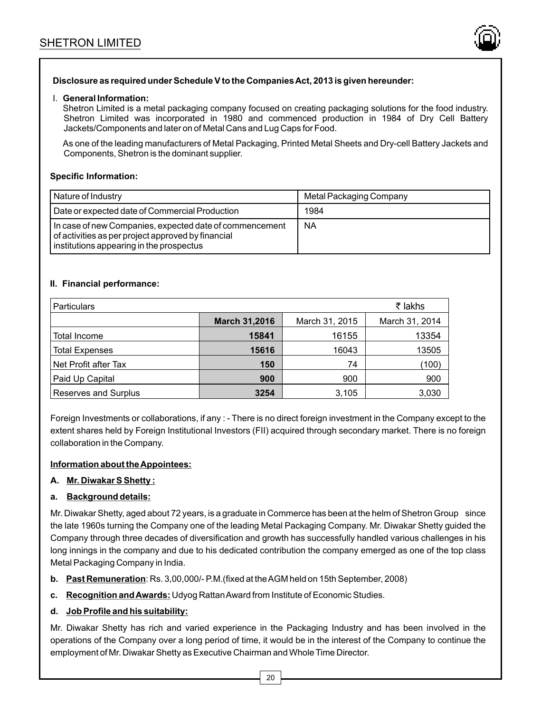

# **Disclosure as required under Schedule V to the Companies Act, 2013 is given hereunder:**

#### I. **General Information:**

Shetron Limited is a metal packaging company focused on creating packaging solutions for the food industry. Shetron Limited was incorporated in 1980 and commenced production in 1984 of Dry Cell Battery Jackets/Components and later on of Metal Cans and Lug Caps for Food.

As one of the leading manufacturers of Metal Packaging, Printed Metal Sheets and Dry-cell Battery Jackets and Components, Shetron is the dominant supplier.

#### **Specific Information:**

| Nature of Industry                                                                                                                                        | Metal Packaging Company |
|-----------------------------------------------------------------------------------------------------------------------------------------------------------|-------------------------|
| Date or expected date of Commercial Production                                                                                                            | 1984                    |
| In case of new Companies, expected date of commencement<br>of activities as per project approved by financial<br>institutions appearing in the prospectus | NA                      |

### **II. Financial performance:**

| ₹ lakhs<br><b>Particulars</b> |                      |                |                |
|-------------------------------|----------------------|----------------|----------------|
|                               | <b>March 31,2016</b> | March 31, 2015 | March 31, 2014 |
| Total Income                  | 15841                | 16155          | 13354          |
| <b>Total Expenses</b>         | 15616                | 16043          | 13505          |
| Net Profit after Tax          | 150                  | 74             | (100)          |
| Paid Up Capital               | 900                  | 900            | 900            |
| Reserves and Surplus          | 3254                 | 3,105          | 3,030          |

Foreign Investments or collaborations, if any : - There is no direct foreign investment in the Company except to the extent shares held by Foreign Institutional Investors (FII) acquired through secondary market. There is no foreign collaboration in the Company.

#### **Information about the Appointees:**

#### **A. Mr. Diwakar S Shetty :**

### **a. Background details:**

Mr. Diwakar Shetty, aged about 72 years, is a graduate in Commerce has been at the helm of Shetron Group since the late 1960s turning the Company one of the leading Metal Packaging Company. Mr. Diwakar Shetty guided the Company through three decades of diversification and growth has successfully handled various challenges in his long innings in the company and due to his dedicated contribution the company emerged as one of the top class Metal Packaging Company in India.

- **b. Past Remuneration**: Rs. 3,00,000/- P.M.(fixed at the AGM held on 15th September, 2008)
- **c. Recognition and Awards:** Udyog Rattan Award from Institute of Economic Studies.

### **d. Job Profile and his suitability:**

Mr. Diwakar Shetty has rich and varied experience in the Packaging Industry and has been involved in the operations of the Company over a long period of time, it would be in the interest of the Company to continue the employment of Mr. Diwakar Shetty as Executive Chairman and Whole Time Director.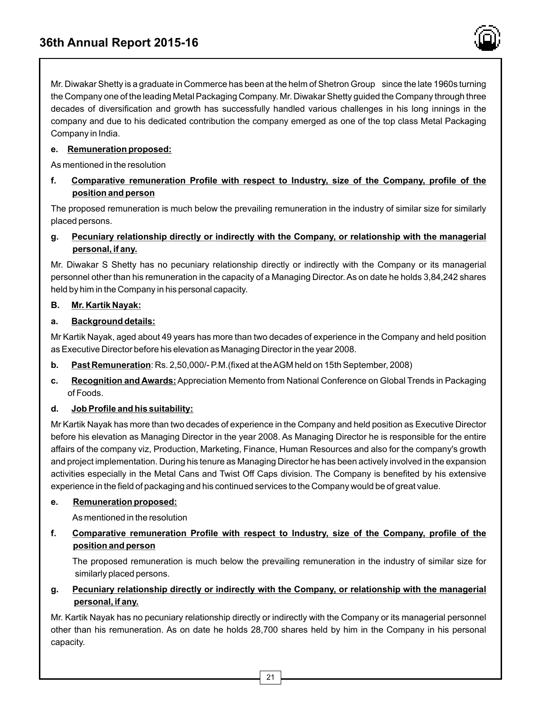

Mr. Diwakar Shetty is a graduate in Commerce has been at the helm of Shetron Group since the late 1960s turning the Company one of the leading Metal Packaging Company. Mr. Diwakar Shetty guided the Company through three decades of diversification and growth has successfully handled various challenges in his long innings in the company and due to his dedicated contribution the company emerged as one of the top class Metal Packaging Company in India.

# **e. Remuneration proposed:**

As mentioned in the resolution

**f. Comparative remuneration Profile with respect to Industry, size of the Company, profile of the position and person**

The proposed remuneration is much below the prevailing remuneration in the industry of similar size for similarly placed persons.

# **g. Pecuniary relationship directly or indirectly with the Company, or relationship with the managerial personal, if any.**

Mr. Diwakar S Shetty has no pecuniary relationship directly or indirectly with the Company or its managerial personnel other than his remuneration in the capacity of a Managing Director. As on date he holds 3,84,242 shares held by him in the Company in his personal capacity.

# **B. Mr. Kartik Nayak:**

# **a. Background details:**

Mr Kartik Nayak, aged about 49 years has more than two decades of experience in the Company and held position as Executive Director before his elevation as Managing Director in the year 2008.

- **b. Past Remuneration**: Rs. 2,50,000/- P.M.(fixed at the AGM held on 15th September, 2008)
- **c. Recognition and Awards:**Appreciation Memento from National Conference on Global Trends in Packaging of Foods.

# **d. Job Profile and his suitability:**

Mr Kartik Nayak has more than two decades of experience in the Company and held position as Executive Director before his elevation as Managing Director in the year 2008. As Managing Director he is responsible for the entire affairs of the company viz, Production, Marketing, Finance, Human Resources and also for the company's growth and project implementation. During his tenure as Managing Director he has been actively involved in the expansion activities especially in the Metal Cans and Twist Off Caps division. The Company is benefited by his extensive experience in the field of packaging and his continued services to the Company would be of great value.

# **e. Remuneration proposed:**

As mentioned in the resolution

**f. Comparative remuneration Profile with respect to Industry, size of the Company, profile of the position and person**

The proposed remuneration is much below the prevailing remuneration in the industry of similar size for similarly placed persons.

**g. Pecuniary relationship directly or indirectly with the Company, or relationship with the managerial personal, if any.**

Mr. Kartik Nayak has no pecuniary relationship directly or indirectly with the Company or its managerial personnel other than his remuneration. As on date he holds 28,700 shares held by him in the Company in his personal capacity.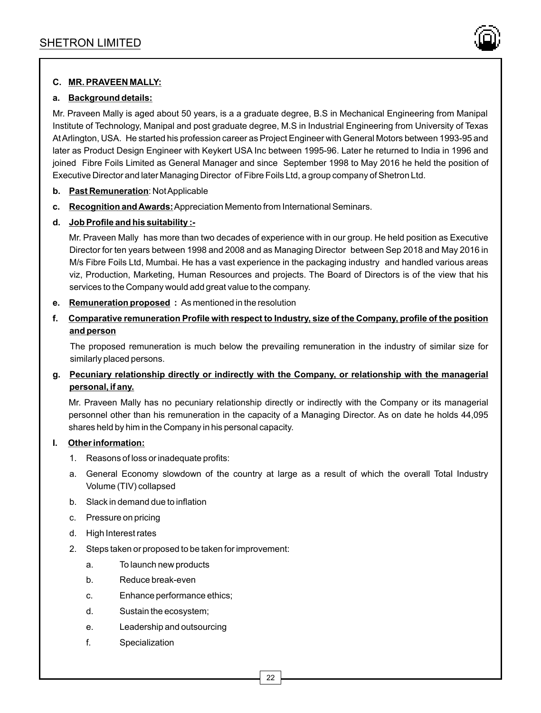

# **C. MR. PRAVEEN MALLY:**

# **a. Background details:**

Mr. Praveen Mally is aged about 50 years, is a a graduate degree, B.S in Mechanical Engineering from Manipal Institute of Technology, Manipal and post graduate degree, M.S in Industrial Engineering from University of Texas At Arlington, USA. He started his profession career as Project Engineer with General Motors between 1993-95 and later as Product Design Engineer with Keykert USA Inc between 1995-96. Later he returned to India in 1996 and joined Fibre Foils Limited as General Manager and since September 1998 to May 2016 he held the position of Executive Director and later Managing Director of Fibre Foils Ltd, a group company of Shetron Ltd.

- **b. Past Remuneration**: Not Applicable
- **c. Recognition and Awards:**Appreciation Memento from International Seminars.

# **d. Job Profile and his suitability :-**

Mr. Praveen Mally has more than two decades of experience with in our group. He held position as Executive Director for ten years between 1998 and 2008 and as Managing Director between Sep 2018 and May 2016 in M/s Fibre Foils Ltd, Mumbai. He has a vast experience in the packaging industry and handled various areas viz, Production, Marketing, Human Resources and projects. The Board of Directors is of the view that his services to the Company would add great value to the company.

- **e. Remuneration proposed :** As mentioned in the resolution
- **f. Comparative remuneration Profile with respect to Industry, size of the Company, profile of the position and person**

The proposed remuneration is much below the prevailing remuneration in the industry of similar size for similarly placed persons.

# **g. Pecuniary relationship directly or indirectly with the Company, or relationship with the managerial personal, if any.**

Mr. Praveen Mally has no pecuniary relationship directly or indirectly with the Company or its managerial personnel other than his remuneration in the capacity of a Managing Director. As on date he holds 44,095 shares held by him in the Company in his personal capacity.

### **I. Other information:**

- 1. Reasons of loss or inadequate profits:
- a. General Economy slowdown of the country at large as a result of which the overall Total Industry Volume (TIV) collapsed
- b. Slack in demand due to inflation
- c. Pressure on pricing
- d. High Interest rates
- 2. Steps taken or proposed to be taken for improvement:
	- a. To launch new products
	- b. Reduce break-even
	- c. Enhance performance ethics;
	- d. Sustain the ecosystem;
	- e. Leadership and outsourcing
	- f. Specialization